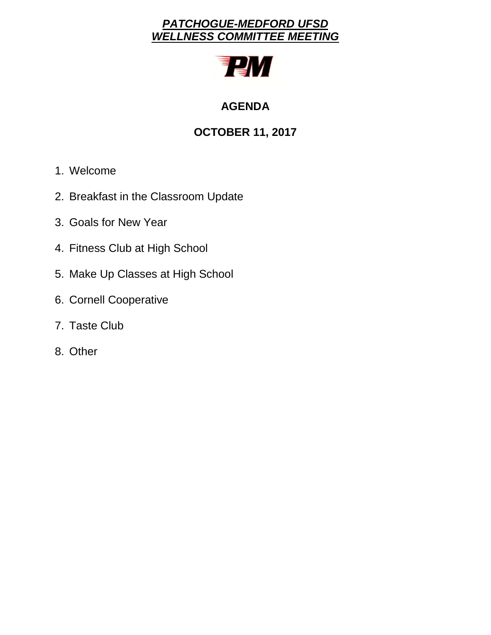# *PATCHOGUE-MEDFORD UFSD WELLNESS COMMITTEE MEETING*



# **AGENDA**

# **OCTOBER 11, 2017**

- 1. Welcome
- 2. Breakfast in the Classroom Update
- 3. Goals for New Year
- 4. Fitness Club at High School
- 5. Make Up Classes at High School
- 6. Cornell Cooperative
- 7. Taste Club
- 8. Other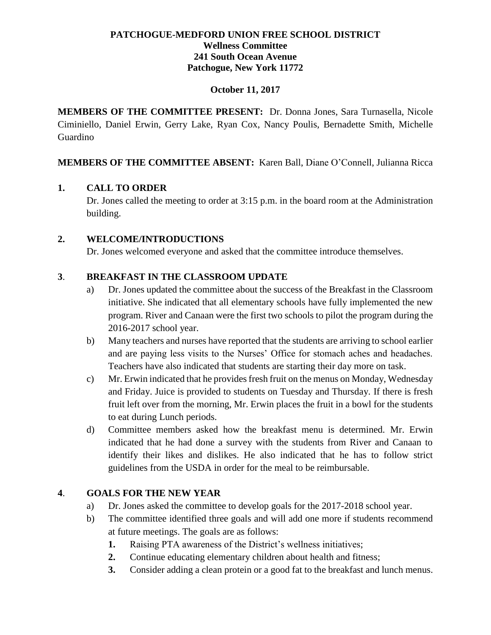# **PATCHOGUE-MEDFORD UNION FREE SCHOOL DISTRICT Wellness Committee 241 South Ocean Avenue Patchogue, New York 11772**

#### **October 11, 2017**

**MEMBERS OF THE COMMITTEE PRESENT:** Dr. Donna Jones, Sara Turnasella, Nicole Ciminiello, Daniel Erwin, Gerry Lake, Ryan Cox, Nancy Poulis, Bernadette Smith, Michelle Guardino

**MEMBERS OF THE COMMITTEE ABSENT:** Karen Ball, Diane O'Connell, Julianna Ricca

# **1. CALL TO ORDER**

Dr. Jones called the meeting to order at 3:15 p.m. in the board room at the Administration building.

#### **2. WELCOME/INTRODUCTIONS**

Dr. Jones welcomed everyone and asked that the committee introduce themselves.

# **3**. **BREAKFAST IN THE CLASSROOM UPDATE**

- a) Dr. Jones updated the committee about the success of the Breakfast in the Classroom initiative. She indicated that all elementary schools have fully implemented the new program. River and Canaan were the first two schools to pilot the program during the 2016-2017 school year.
- b) Many teachers and nurses have reported that the students are arriving to school earlier and are paying less visits to the Nurses' Office for stomach aches and headaches. Teachers have also indicated that students are starting their day more on task.
- c) Mr. Erwin indicated that he provides fresh fruit on the menus on Monday, Wednesday and Friday. Juice is provided to students on Tuesday and Thursday. If there is fresh fruit left over from the morning, Mr. Erwin places the fruit in a bowl for the students to eat during Lunch periods.
- d) Committee members asked how the breakfast menu is determined. Mr. Erwin indicated that he had done a survey with the students from River and Canaan to identify their likes and dislikes. He also indicated that he has to follow strict guidelines from the USDA in order for the meal to be reimbursable.

# **4**. **GOALS FOR THE NEW YEAR**

- a) Dr. Jones asked the committee to develop goals for the 2017-2018 school year.
- b) The committee identified three goals and will add one more if students recommend at future meetings. The goals are as follows:
	- **1.** Raising PTA awareness of the District's wellness initiatives;
	- **2.** Continue educating elementary children about health and fitness;
	- **3.** Consider adding a clean protein or a good fat to the breakfast and lunch menus.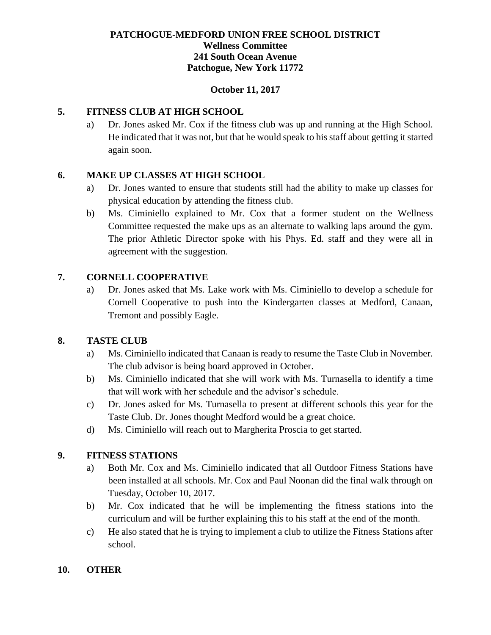# **PATCHOGUE-MEDFORD UNION FREE SCHOOL DISTRICT Wellness Committee 241 South Ocean Avenue Patchogue, New York 11772**

#### **October 11, 2017**

#### **5. FITNESS CLUB AT HIGH SCHOOL**

a) Dr. Jones asked Mr. Cox if the fitness club was up and running at the High School. He indicated that it was not, but that he would speak to his staff about getting it started again soon.

#### **6. MAKE UP CLASSES AT HIGH SCHOOL**

- a) Dr. Jones wanted to ensure that students still had the ability to make up classes for physical education by attending the fitness club.
- b) Ms. Ciminiello explained to Mr. Cox that a former student on the Wellness Committee requested the make ups as an alternate to walking laps around the gym. The prior Athletic Director spoke with his Phys. Ed. staff and they were all in agreement with the suggestion.

# **7. CORNELL COOPERATIVE**

a) Dr. Jones asked that Ms. Lake work with Ms. Ciminiello to develop a schedule for Cornell Cooperative to push into the Kindergarten classes at Medford, Canaan, Tremont and possibly Eagle.

# **8. TASTE CLUB**

- a) Ms. Ciminiello indicated that Canaan is ready to resume the Taste Club in November. The club advisor is being board approved in October.
- b) Ms. Ciminiello indicated that she will work with Ms. Turnasella to identify a time that will work with her schedule and the advisor's schedule.
- c) Dr. Jones asked for Ms. Turnasella to present at different schools this year for the Taste Club. Dr. Jones thought Medford would be a great choice.
- d) Ms. Ciminiello will reach out to Margherita Proscia to get started.

#### **9. FITNESS STATIONS**

- a) Both Mr. Cox and Ms. Ciminiello indicated that all Outdoor Fitness Stations have been installed at all schools. Mr. Cox and Paul Noonan did the final walk through on Tuesday, October 10, 2017.
- b) Mr. Cox indicated that he will be implementing the fitness stations into the curriculum and will be further explaining this to his staff at the end of the month.
- c) He also stated that he is trying to implement a club to utilize the Fitness Stations after school.

#### **10. OTHER**